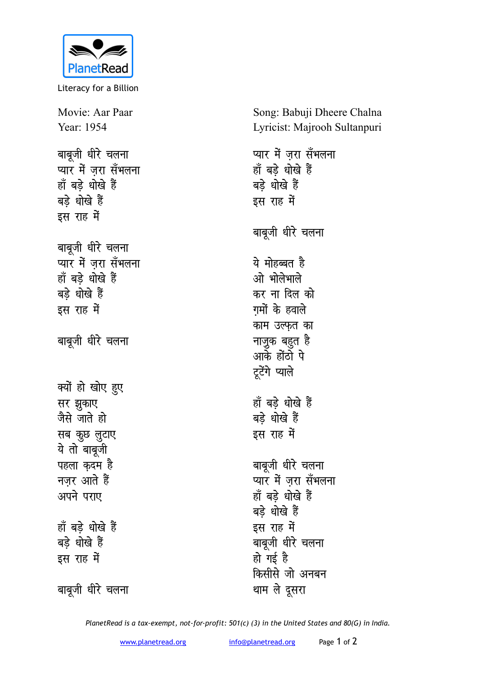

Literacy for a Billion

Movie: Aar Paar Year: 1954 बाबूजी धीरे चलना प्यार में ज़रा सँभलना हाँ बड़े धोखे हैं बड़े धोखे हैं इस राह में बाबूजी धीरे चलना प्यार में जरा सँभलना हाँ बड़े धोखे हैं बड़े धोखे हैं इस राह में बाबूजी धीरे चलना क्यों हो खोए हुए सर झुकाए जैसे जाते हो सब कुछ लुटाए ये तो बाबूजी पहला कदम है नजर आते हैं अपने पराए हाँ बड़े धोखे हैं बडे धोखे हैं इस राह में

Song: Babuji Dheere Chalna Lyricist: Majrooh Sultanpuri प्यार में जरा सँभलना हाँ बड़े धोखे हैं

बाबुजी धीरे चलना

बड़े धोखे हैं

इस राह में

ये मोहब्बत है ओ भोलेभाले कर ना दिल को गमों के हवाले काम उल्फत का नाज़ुक बहुत है आके होंठो पे टूटेंगे प्याले

हाँ बड़े धोखे हैं बड़े धोखे हैं इस राह में

बाबूजी धीरे चलना प्यार में ज़रा सँभलना हाँ बड़े धोखे हैं बड़े धोखे हैं इस राह में बाबूजी धीरे चलना हो गई है किसीसे जो अनबन थाम ले दूसरा

बाबूजी धीरे चलना

PlanetRead is a tax-exempt, not-for-profit: 501(c) (3) in the United States and 80(G) in India.